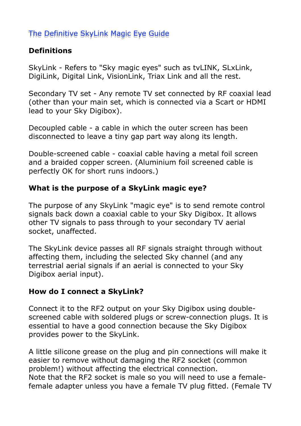# The Definitive SkyLink Magic Eye Guide

# **Definitions**

SkyLink - Refers to "Sky magic eyes" such as tvLINK, SLxLink, DigiLink, Digital Link, VisionLink, Triax Link and all the rest.

Secondary TV set - Any remote TV set connected by RF coaxial lead (other than your main set, which is connected via a Scart or HDMI lead to your Sky Digibox).

Decoupled cable - a cable in which the outer screen has been disconnected to leave a tiny gap part way along its length.

Double-screened cable - coaxial cable having a metal foil screen and a braided copper screen. (Aluminium foil screened cable is perfectly OK for short runs indoors.)

## **What is the purpose of a SkyLink magic eye?**

The purpose of any SkyLink "magic eye" is to send remote control signals back down a coaxial cable to your Sky Digibox. It allows other TV signals to pass through to your secondary TV aerial socket, unaffected.

The SkyLink device passes all RF signals straight through without affecting them, including the selected Sky channel (and any terrestrial aerial signals if an aerial is connected to your Sky Digibox aerial input).

#### **How do I connect a SkyLink?**

Connect it to the RF2 output on your Sky Digibox using doublescreened cable with soldered plugs or screw-connection plugs. It is essential to have a good connection because the Sky Digibox provides power to the SkyLink.

A little silicone grease on the plug and pin connections will make it easier to remove without damaging the RF2 socket (common problem!) without affecting the electrical connection. Note that the RF2 socket is male so you will need to use a femalefemale adapter unless you have a female TV plug fitted. (Female TV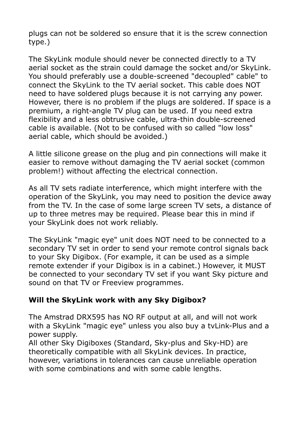plugs can not be soldered so ensure that it is the screw connection type.)

The SkyLink module should never be connected directly to a TV aerial socket as the strain could damage the socket and/or SkyLink. You should preferably use a double-screened "decoupled" cable" to connect the SkyLink to the TV aerial socket. This cable does NOT need to have soldered plugs because it is not carrying any power. However, there is no problem if the plugs are soldered. If space is a premium, a right-angle TV plug can be used. If you need extra flexibility and a less obtrusive cable, ultra-thin double-screened cable is available. (Not to be confused with so called "low loss" aerial cable, which should be avoided.)

A little silicone grease on the plug and pin connections will make it easier to remove without damaging the TV aerial socket (common problem!) without affecting the electrical connection.

As all TV sets radiate interference, which might interfere with the operation of the SkyLink, you may need to position the device away from the TV. In the case of some large screen TV sets, a distance of up to three metres may be required. Please bear this in mind if your SkyLink does not work reliably.

The SkyLink "magic eye" unit does NOT need to be connected to a secondary TV set in order to send your remote control signals back to your Sky Digibox. (For example, it can be used as a simple remote extender if your Digibox is in a cabinet.) However, it MUST be connected to your secondary TV set if you want Sky picture and sound on that TV or Freeview programmes.

#### **Will the SkyLink work with any Sky Digibox?**

The Amstrad DRX595 has NO RF output at all, and will not work with a SkyLink "magic eye" unless you also buy a tvLink-Plus and a power supply.

All other Sky Digiboxes (Standard, Sky-plus and Sky-HD) are theoretically compatible with all SkyLink devices. In practice, however, variations in tolerances can cause unreliable operation with some combinations and with some cable lengths.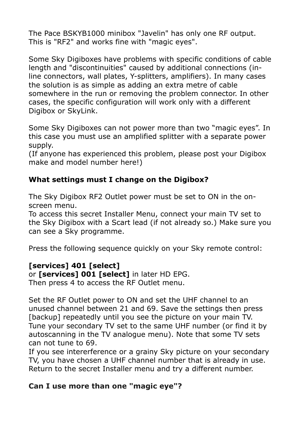The Pace BSKYB1000 minibox "Javelin" has only one RF output. This is "RF2" and works fine with "magic eyes".

Some Sky Digiboxes have problems with specific conditions of cable length and "discontinuities" caused by additional connections (inline connectors, wall plates, Y-splitters, amplifiers). In many cases the solution is as simple as adding an extra metre of cable somewhere in the run or removing the problem connector. In other cases, the specific configuration will work only with a different Digibox or SkyLink.

Some Sky Digiboxes can not power more than two "magic eyes". In this case you must use an amplified splitter with a separate power supply.

(If anyone has experienced this problem, please post your Digibox make and model number here!)

## **What settings must I change on the Digibox?**

The Sky Digibox RF2 Outlet power must be set to ON in the onscreen menu.

To access this secret Installer Menu, connect your main TV set to the Sky Digibox with a Scart lead (if not already so.) Make sure you can see a Sky programme.

Press the following sequence quickly on your Sky remote control:

# **[services] 401 [select]**

or **[services] 001 [select]** in later HD EPG. Then press 4 to access the RF Outlet menu.

Set the RF Outlet power to ON and set the UHF channel to an unused channel between 21 and 69. Save the settings then press [backup] repeatedly until you see the picture on your main TV. Tune your secondary TV set to the same UHF number (or find it by autoscanning in the TV analogue menu). Note that some TV sets can not tune to 69.

If you see intererference or a grainy Sky picture on your secondary TV, you have chosen a UHF channel number that is already in use. Return to the secret Installer menu and try a different number.

#### **Can I use more than one "magic eye"?**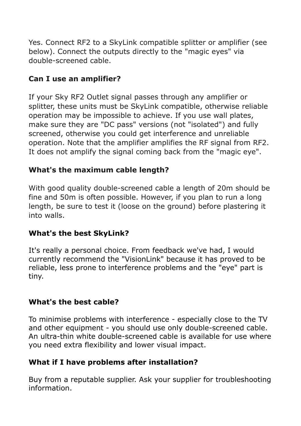Yes. Connect RF2 to a SkyLink compatible splitter or amplifier (see below). Connect the outputs directly to the "magic eyes" via double-screened cable.

## **Can I use an amplifier?**

If your Sky RF2 Outlet signal passes through any amplifier or splitter, these units must be SkyLink compatible, otherwise reliable operation may be impossible to achieve. If you use wall plates, make sure they are "DC pass" versions (not "isolated") and fully screened, otherwise you could get interference and unreliable operation. Note that the amplifier amplifies the RF signal from RF2. It does not amplify the signal coming back from the "magic eye".

#### **What's the maximum cable length?**

With good quality double-screened cable a length of 20m should be fine and 50m is often possible. However, if you plan to run a long length, be sure to test it (loose on the ground) before plastering it into walls.

#### **What's the best SkyLink?**

It's really a personal choice. From feedback we've had, I would currently recommend the "VisionLink" because it has proved to be reliable, less prone to interference problems and the "eye" part is tiny.

#### **What's the best cable?**

To minimise problems with interference - especially close to the TV and other equipment - you should use only double-screened cable. An ultra-thin white double-screened cable is available for use where you need extra flexibility and lower visual impact.

#### **What if I have problems after installation?**

Buy from a reputable supplier. Ask your supplier for troubleshooting information.